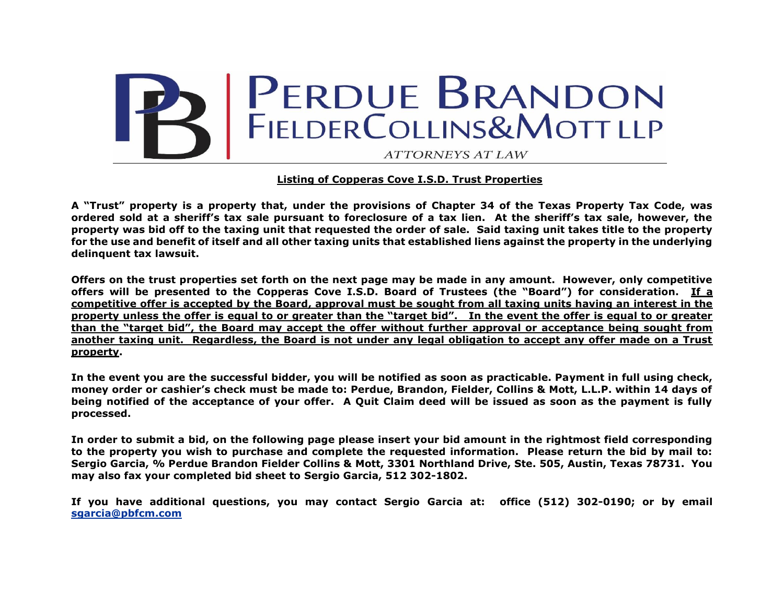

## **Listing of Copperas Cove I.S.D. Trust Properties**

**A "Trust" property is a property that, under the provisions of Chapter 34 of the Texas Property Tax Code, was ordered sold at a sheriff's tax sale pursuant to foreclosure of a tax lien. At the sheriff's tax sale, however, the property was bid off to the taxing unit that requested the order of sale. Said taxing unit takes title to the property for the use and benefit of itself and all other taxing units that established liens against the property in the underlying delinquent tax lawsuit.** 

**Offers on the trust properties set forth on the next page may be made in any amount. However, only competitive offers will be presented to the Copperas Cove I.S.D. Board of Trustees (the "Board") for consideration. If a competitive offer is accepted by the Board, approval must be sought from all taxing units having an interest in the property unless the offer is equal to or greater than the "target bid". In the event the offer is equal to or greater than the "target bid", the Board may accept the offer without further approval or acceptance being sought from another taxing unit. Regardless, the Board is not under any legal obligation to accept any offer made on a Trust property.**

**In the event you are the successful bidder, you will be notified as soon as practicable. Payment in full using check, money order or cashier's check must be made to: Perdue, Brandon, Fielder, Collins & Mott, L.L.P. within 14 days of being notified of the acceptance of your offer. A Quit Claim deed will be issued as soon as the payment is fully processed.**

**In order to submit a bid, on the following page please insert your bid amount in the rightmost field corresponding to the property you wish to purchase and complete the requested information. Please return the bid by mail to: Sergio Garcia, % Perdue Brandon Fielder Collins & Mott, 3301 Northland Drive, Ste. 505, Austin, Texas 78731. You may also fax your completed bid sheet to Sergio Garcia, 512 302-1802.** 

**If you have additional questions, you may contact Sergio Garcia at: office (512) 302-0190; or by email [sgarcia@pbfcm.com](mailto:sgarcia@pbfcm.com)**